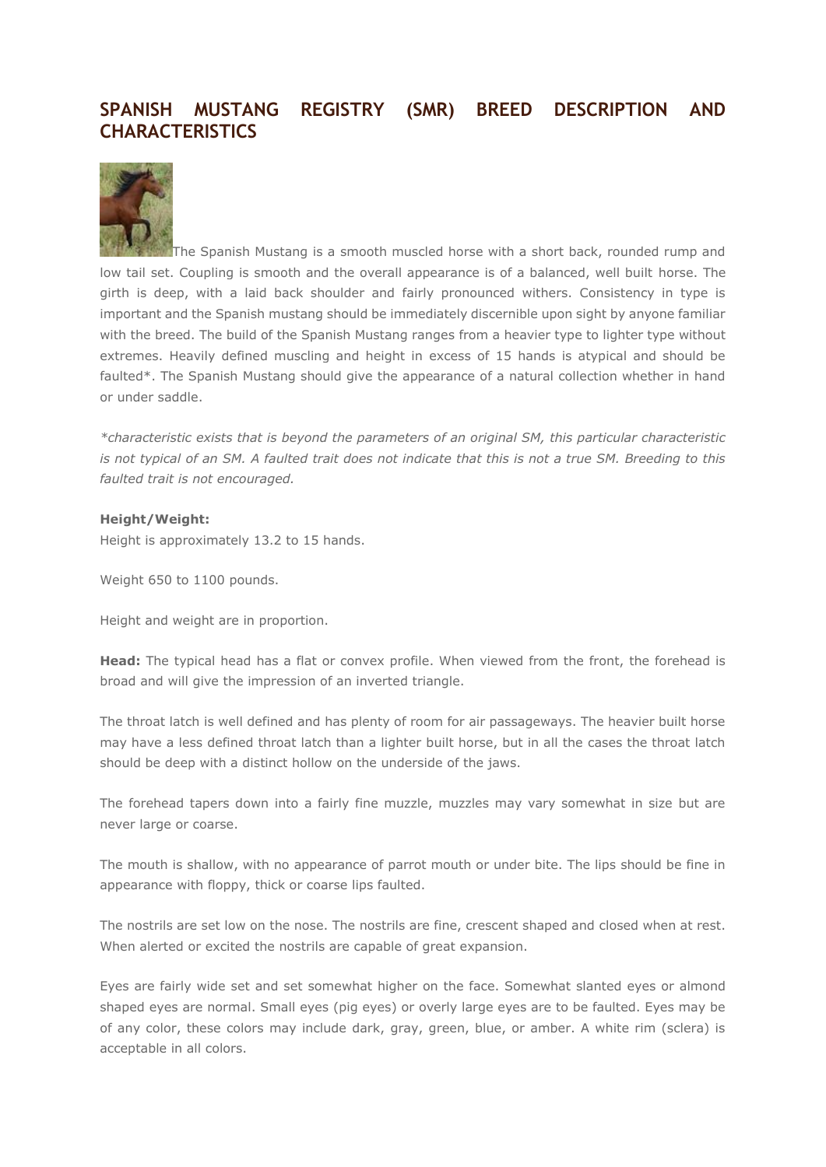## **SPANISH MUSTANG REGISTRY (SMR) BREED DESCRIPTION AND CHARACTERISTICS**



The Spanish Mustang is a smooth muscled horse with a short back, rounded rump and low tail set. Coupling is smooth and the overall appearance is of a balanced, well built horse. The girth is deep, with a laid back shoulder and fairly pronounced withers. Consistency in type is important and the Spanish mustang should be immediately discernible upon sight by anyone familiar with the breed. The build of the Spanish Mustang ranges from a heavier type to lighter type without extremes. Heavily defined muscling and height in excess of 15 hands is atypical and should be faulted\*. The Spanish Mustang should give the appearance of a natural collection whether in hand or under saddle.

*\*characteristic exists that is beyond the parameters of an original SM, this particular characteristic is not typical of an SM. A faulted trait does not indicate that this is not a true SM. Breeding to this faulted trait is not encouraged.* 

## **Height/Weight:**

Height is approximately 13.2 to 15 hands.

Weight 650 to 1100 pounds.

Height and weight are in proportion.

**Head:** The typical head has a flat or convex profile. When viewed from the front, the forehead is broad and will give the impression of an inverted triangle.

The throat latch is well defined and has plenty of room for air passageways. The heavier built horse may have a less defined throat latch than a lighter built horse, but in all the cases the throat latch should be deep with a distinct hollow on the underside of the jaws.

The forehead tapers down into a fairly fine muzzle, muzzles may vary somewhat in size but are never large or coarse.

The mouth is shallow, with no appearance of parrot mouth or under bite. The lips should be fine in appearance with floppy, thick or coarse lips faulted.

The nostrils are set low on the nose. The nostrils are fine, crescent shaped and closed when at rest. When alerted or excited the nostrils are capable of great expansion.

Eyes are fairly wide set and set somewhat higher on the face. Somewhat slanted eyes or almond shaped eyes are normal. Small eyes (pig eyes) or overly large eyes are to be faulted. Eyes may be of any color, these colors may include dark, gray, green, blue, or amber. A white rim (sclera) is acceptable in all colors.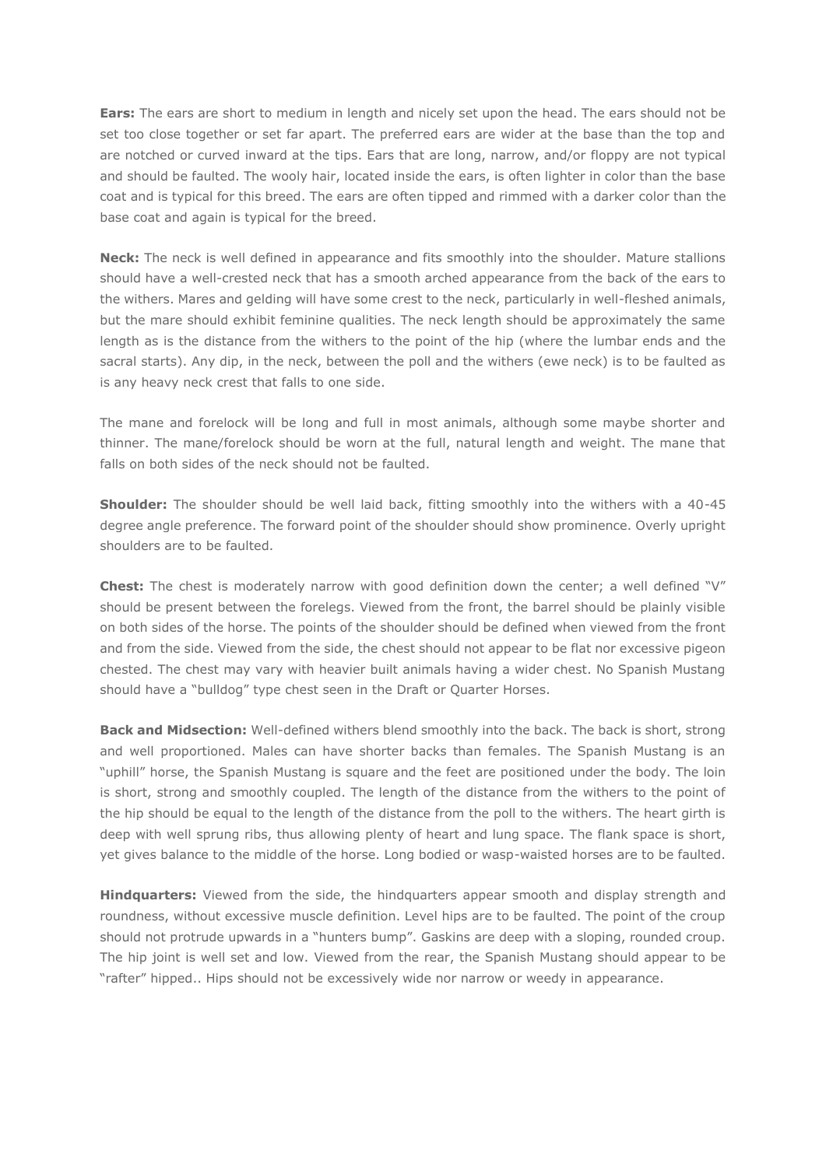**Ears:** The ears are short to medium in length and nicely set upon the head. The ears should not be set too close together or set far apart. The preferred ears are wider at the base than the top and are notched or curved inward at the tips. Ears that are long, narrow, and/or floppy are not typical and should be faulted. The wooly hair, located inside the ears, is often lighter in color than the base coat and is typical for this breed. The ears are often tipped and rimmed with a darker color than the base coat and again is typical for the breed.

**Neck:** The neck is well defined in appearance and fits smoothly into the shoulder. Mature stallions should have a well-crested neck that has a smooth arched appearance from the back of the ears to the withers. Mares and gelding will have some crest to the neck, particularly in well-fleshed animals, but the mare should exhibit feminine qualities. The neck length should be approximately the same length as is the distance from the withers to the point of the hip (where the lumbar ends and the sacral starts). Any dip, in the neck, between the poll and the withers (ewe neck) is to be faulted as is any heavy neck crest that falls to one side.

The mane and forelock will be long and full in most animals, although some maybe shorter and thinner. The mane/forelock should be worn at the full, natural length and weight. The mane that falls on both sides of the neck should not be faulted.

**Shoulder:** The shoulder should be well laid back, fitting smoothly into the withers with a 40-45 degree angle preference. The forward point of the shoulder should show prominence. Overly upright shoulders are to be faulted.

**Chest:** The chest is moderately narrow with good definition down the center; a well defined "V" should be present between the forelegs. Viewed from the front, the barrel should be plainly visible on both sides of the horse. The points of the shoulder should be defined when viewed from the front and from the side. Viewed from the side, the chest should not appear to be flat nor excessive pigeon chested. The chest may vary with heavier built animals having a wider chest. No Spanish Mustang should have a "bulldog" type chest seen in the Draft or Quarter Horses.

**Back and Midsection:** Well-defined withers blend smoothly into the back. The back is short, strong and well proportioned. Males can have shorter backs than females. The Spanish Mustang is an "uphill" horse, the Spanish Mustang is square and the feet are positioned under the body. The loin is short, strong and smoothly coupled. The length of the distance from the withers to the point of the hip should be equal to the length of the distance from the poll to the withers. The heart girth is deep with well sprung ribs, thus allowing plenty of heart and lung space. The flank space is short, yet gives balance to the middle of the horse. Long bodied or wasp-waisted horses are to be faulted.

**Hindquarters:** Viewed from the side, the hindquarters appear smooth and display strength and roundness, without excessive muscle definition. Level hips are to be faulted. The point of the croup should not protrude upwards in a "hunters bump". Gaskins are deep with a sloping, rounded croup. The hip joint is well set and low. Viewed from the rear, the Spanish Mustang should appear to be "rafter" hipped.. Hips should not be excessively wide nor narrow or weedy in appearance.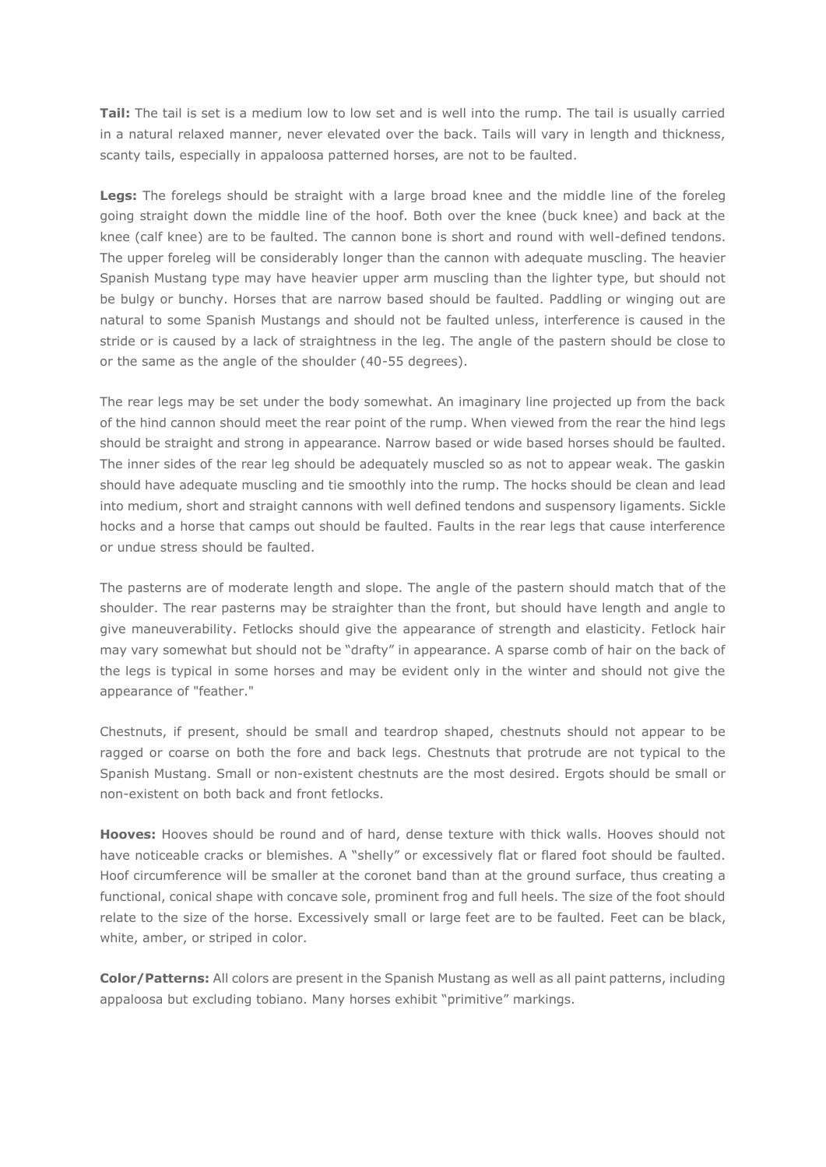**Tail:** The tail is set is a medium low to low set and is well into the rump. The tail is usually carried in a natural relaxed manner, never elevated over the back. Tails will vary in length and thickness, scanty tails, especially in appaloosa patterned horses, are not to be faulted.

Legs: The forelegs should be straight with a large broad knee and the middle line of the foreleg going straight down the middle line of the hoof. Both over the knee (buck knee) and back at the knee (calf knee) are to be faulted. The cannon bone is short and round with well-defined tendons. The upper foreleg will be considerably longer than the cannon with adequate muscling. The heavier Spanish Mustang type may have heavier upper arm muscling than the lighter type, but should not be bulgy or bunchy. Horses that are narrow based should be faulted. Paddling or winging out are natural to some Spanish Mustangs and should not be faulted unless, interference is caused in the stride or is caused by a lack of straightness in the leg. The angle of the pastern should be close to or the same as the angle of the shoulder (40-55 degrees).

The rear legs may be set under the body somewhat. An imaginary line projected up from the back of the hind cannon should meet the rear point of the rump. When viewed from the rear the hind legs should be straight and strong in appearance. Narrow based or wide based horses should be faulted. The inner sides of the rear leg should be adequately muscled so as not to appear weak. The gaskin should have adequate muscling and tie smoothly into the rump. The hocks should be clean and lead into medium, short and straight cannons with well defined tendons and suspensory ligaments. Sickle hocks and a horse that camps out should be faulted. Faults in the rear legs that cause interference or undue stress should be faulted.

The pasterns are of moderate length and slope. The angle of the pastern should match that of the shoulder. The rear pasterns may be straighter than the front, but should have length and angle to give maneuverability. Fetlocks should give the appearance of strength and elasticity. Fetlock hair may vary somewhat but should not be "drafty" in appearance. A sparse comb of hair on the back of the legs is typical in some horses and may be evident only in the winter and should not give the appearance of "feather."

Chestnuts, if present, should be small and teardrop shaped, chestnuts should not appear to be ragged or coarse on both the fore and back legs. Chestnuts that protrude are not typical to the Spanish Mustang. Small or non-existent chestnuts are the most desired. Ergots should be small or non-existent on both back and front fetlocks.

**Hooves:** Hooves should be round and of hard, dense texture with thick walls. Hooves should not have noticeable cracks or blemishes. A "shelly" or excessively flat or flared foot should be faulted. Hoof circumference will be smaller at the coronet band than at the ground surface, thus creating a functional, conical shape with concave sole, prominent frog and full heels. The size of the foot should relate to the size of the horse. Excessively small or large feet are to be faulted. Feet can be black, white, amber, or striped in color.

**Color/Patterns:** All colors are present in the Spanish Mustang as well as all paint patterns, including appaloosa but excluding tobiano. Many horses exhibit "primitive" markings.